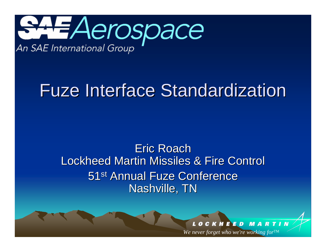

# **Fuze Interface Standardization**

### Eric Roach Lockheed Martin Missiles & Fire Control Lockheed Martin Missiles & Fire Control 51<sup>st</sup> Annual Fuze Conference Nashville, TN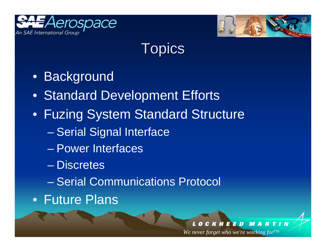



### **Topics**

- Background
- Standard Development Efforts
- Fuzing System Standard Structure
	- en al control de la control de Serial Signal Interface
	- Power Interfaces
	- Discretes
	- Serial Communications Protocol
- Future Plans

K H **EED RTI** M A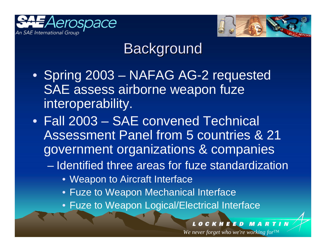



## **Background**

- Spring 2003 NAFAG AG-2 requested SAE assess airborne weapon fuze interoperability.
- Fall 2003 SAE convened Technical Assessment Panel from 5 countries & 21 government organizations & companies
	- Identified three areas for fuze standardization
		- Weapon to Aircraft Interface
		- Fuze to Weapon Mechanical Interface
		- Fuze to Weapon Logical/Electrical Interface

### **CKHEED MARTI**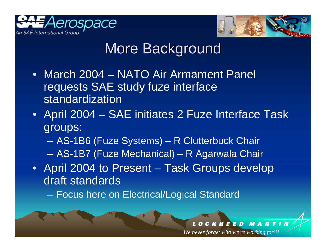



## More Background

- March 2004 NATO Air Armament Panel requests SAE study fuze interface standardization
- April 2004 SAE initiates 2 Fuze Interface Task groups:
	- AS-1B6 (Fuze Systems) R Clutterbuck Chair
	- –AS-1B7 (Fuze Mechanical) – R Agarwala Chair
- April 2004 to Present Task Groups develop draft standards
	- –Focus here on Electrical/Logical Standard

### **KHEED** М R A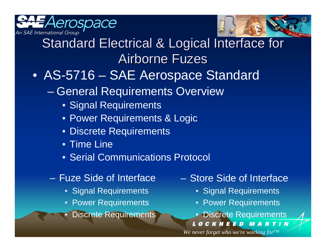



## Standard Electrical & Logical Interface for Airborne Fuzes

- AS-5716 SAE Aerospace Standard
	- en al control de la control de General Requirements Overview
		- Signal Requirements
		- Power Requirements & Logic
		- Discrete Requirements
		- Time Line
		- Serial Communications Protocol
	- Fuze Side of Interface
		- Signal Requirements
		- Power Requirements
		- •Discrete Requirements
- Store Side of Interface
	- Signal Requirements
	- Power Requirements
	- Discrete Requirements
	- LOCKHEED MARTIN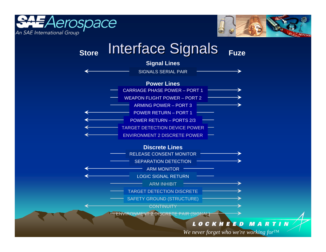



### **StoreInterface Signals** Fuze



### *LOCKHEED* **MARTIN**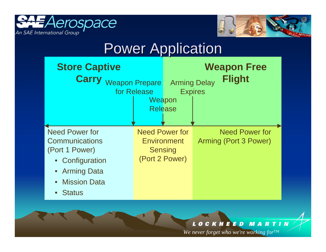



### **Power Application**



### **MARTIN** *LOCKHEED*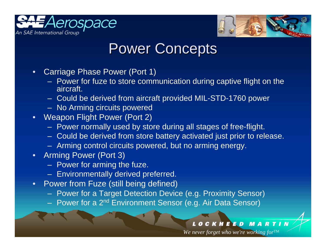



### **Power Concepts**

- • Carriage Phase Power (Port 1)
	- Power for fuze to store communication during captive flight on the aircraft.
	- $\mathcal{L}_{\mathcal{A}}$ Could be derived from aircraft provided MIL-STD-1760 power
	- No Arming circuits powered
- •Weapon Flight Power (Port 2)
	- Power normally used by store during all stages of free-flight.
	- $\mathcal{L}_{\mathcal{A}}$ Could be derived from store battery activated just prior to release.
	- Arming control circuits powered, but no arming energy.
- • Arming Power (Port 3)
	- Power for arming the fuze.
	- Environmentally derived preferred.
- • Power from Fuze (still being defined)
	- $\sim$ Power for a Target Detection Device (e.g. Proximity Sensor)
	- Power for a 2<sup>nd</sup> Environment Sensor (e.g. Air Data Sensor)

### **OCKHEED MARTI**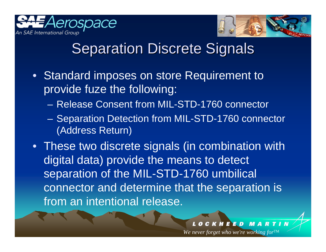



### **Separation Discrete Signals**

- Standard imposes on store Requirement to provide fuze the following:
	- Release Consent from MIL-STD-1760 connector
	- Separation Detection from MIL-STD-1760 connector (Address Return)
- These two discrete signals (in combination with digital data) provide the means to detect separation of the MIL-STD-1760 umbilical connector and determine that the separation is from an intentional release.

### EED к н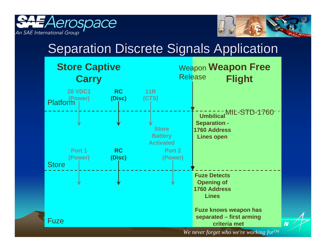



### **Separation Discrete Signals Application**

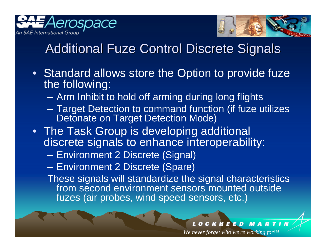



### Additional Fuze Control Discrete Signals

- Standard allows store the Option to provide fuze the following:
	- Arm Inhibit to hold off arming during long flights
	- – Target Detection to command function (if fuze utilizes Detonate on Target Detection Mode)
- The Task Group is developing additional discrete signals to enhance interoperability:
	- Environment 2 Discrete (Signal)
	- –Environment 2 Discrete (Spare)

These signals will standardize the signal characteristics from second environment sensors mounted outside fuzes (air probes, wind speed sensors, etc.)

### **KHEED MA**  $\overline{R}$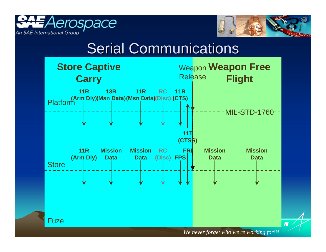



N

### **Serial Communications**

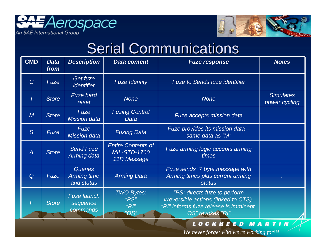



## **Serial Communications**

| <b>CMD</b>     | <b>Data</b><br>from | <b>Description</b>                                 | <b>Data content</b>                                             | <b>Fuze response</b>                                                                                                                  | <b>Notes</b>                      |
|----------------|---------------------|----------------------------------------------------|-----------------------------------------------------------------|---------------------------------------------------------------------------------------------------------------------------------------|-----------------------------------|
| $\overline{C}$ | Fuze                | Get fuze<br><i>identifier</i>                      | <b>Fuze Identity</b>                                            | <b>Fuze to Sends fuze identifier</b>                                                                                                  |                                   |
|                | <b>Store</b>        | <b>Fuze hard</b><br>reset                          | <b>None</b>                                                     | <b>None</b>                                                                                                                           | <b>Simulates</b><br>power cycling |
| M              | <b>Store</b>        | Fuze<br><b>Mission data</b>                        | <b>Fuzing Control</b><br>Data                                   | <b>Fuze accepts mission data</b>                                                                                                      |                                   |
| S              | Fuze                | <b>Fuze</b><br><b>Mission data</b>                 | <b>Fuzing Data</b>                                              | Fuze provides its mission data -<br>same data as "M"                                                                                  |                                   |
| $\overline{A}$ | <b>Store</b>        | <b>Send Fuze</b><br>Arming data                    | <b>Entire Contents of</b><br><b>MIL-STD-1760</b><br>11R Message | Fuze arming logic accepts arming<br>times                                                                                             |                                   |
| $\mathsf Q$    | <b>Fuze</b>         | <b>Queries</b><br><b>Arming time</b><br>and status | <b>Arming Data</b>                                              | Fuze sends 7 byte.message with<br>Arming times plus current arming<br><b>status</b>                                                   |                                   |
| $\mathsf{F}$   | <b>Store</b>        | <b>Fuze launch</b><br>sequence<br>commands         | <b>TWO Bytes:</b><br>" $PS$ "<br>" $R$<br>"OS"                  | "PS" directs fuze to perform<br>irreversible actions (linked to CTS).<br>"RI" informs fuze release is imminent.<br>"OS" revokes "RI". |                                   |

### LOCKHEED MARTIN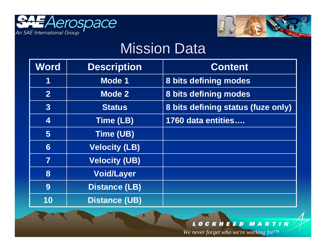



### Mission Data

| <b>Word</b>    | <b>Description</b>   | <b>Content</b>                     |
|----------------|----------------------|------------------------------------|
| 1              | <b>Mode 1</b>        | 8 bits defining modes              |
| $\overline{2}$ | Mode 2               | 8 bits defining modes              |
| $\overline{3}$ | <b>Status</b>        | 8 bits defining status (fuze only) |
| <b>4</b>       | Time (LB)            | 1760 data entities                 |
| 5              | Time (UB)            |                                    |
| 6              | <b>Velocity (LB)</b> |                                    |
| $\overline{7}$ | <b>Velocity (UB)</b> |                                    |
| 8              | <b>Void/Layer</b>    |                                    |
| 9              | <b>Distance (LB)</b> |                                    |
| 10             | <b>Distance (UB)</b> |                                    |

### LOCKHEED MARTIN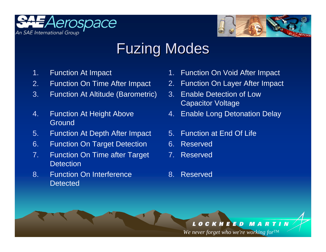



### Fuzing Modes

- 1.Function At Impact
- 2.Function On Time After Impact
- 3. Function At Altitude (Barometric)
- 4. Function At Height Above **Ground**
- 5. Function At Depth After Impact
- 6. Function On Target Detection
- 7. Function On Time after Target **Detection**
- 8. Function On Interference **Detected**
- 1.Function On Void After Impact
- 2.Function On Layer After Impact
- 3. Enable Detection of Low Capacitor Voltage
- 4. Enable Long Detonation Delay
- 5. Function at End Of Life
- 6. Reserved
- 7.Reserved
- 8. Reserved

### *LOCKHEED* **MARTIN**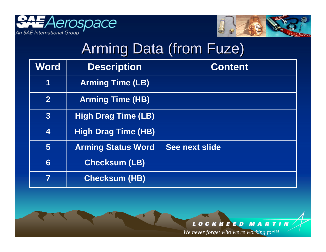



## Arming Data (from Fuze)

| <b>Word</b>    | <b>Description</b>         | <b>Content</b> |
|----------------|----------------------------|----------------|
| 1              | <b>Arming Time (LB)</b>    |                |
| $\overline{2}$ | <b>Arming Time (HB)</b>    |                |
| $\overline{3}$ | <b>High Drag Time (LB)</b> |                |
| 4              | <b>High Drag Time (HB)</b> |                |
| 5              | <b>Arming Status Word</b>  | See next slide |
| 6              | <b>Checksum (LB)</b>       |                |
| 7              | <b>Checksum (HB)</b>       |                |

### LOCKHEED MARTIN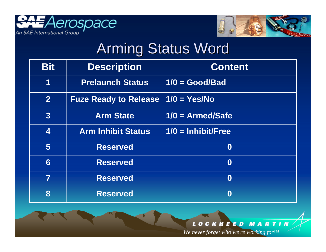



## **Arming Status Word**

| <b>Bit</b>              | <b>Description</b>           | <b>Content</b>       |
|-------------------------|------------------------------|----------------------|
| 1                       | <b>Prelaunch Status</b>      | $1/0 = Good/Bad$     |
| 2                       | <b>Fuze Ready to Release</b> | $1/0 = Yes/No$       |
| 3                       | <b>Arm State</b>             | $1/0$ = Armed/Safe   |
| $\overline{\mathbf{4}}$ | <b>Arm Inhibit Status</b>    | $1/0 = Inhibit/Free$ |
| $\overline{5}$          | <b>Reserved</b>              | $\boldsymbol{0}$     |
| 6                       | <b>Reserved</b>              | $\boldsymbol{0}$     |
| $\overline{\mathbf{7}}$ | <b>Reserved</b>              | $\boldsymbol{0}$     |
| 8                       | <b>Reserved</b>              | $\boldsymbol{0}$     |

### LOCKHEED MARTIN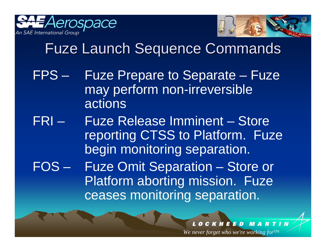



## Fuze Launch Sequence Commands Fuze Launch Sequence Commands

- FPS Fuze Prepare to Separate Fuze may perform non-irreversible actions
- FRI Fuze Release Imminent Store reporting CTSS to Platform. Fuze begin monitoring separation.

FOS – Fuze Omit Separation – Store or Platform aborting mission. Fuze ceases monitoring separation.

### E E D к н